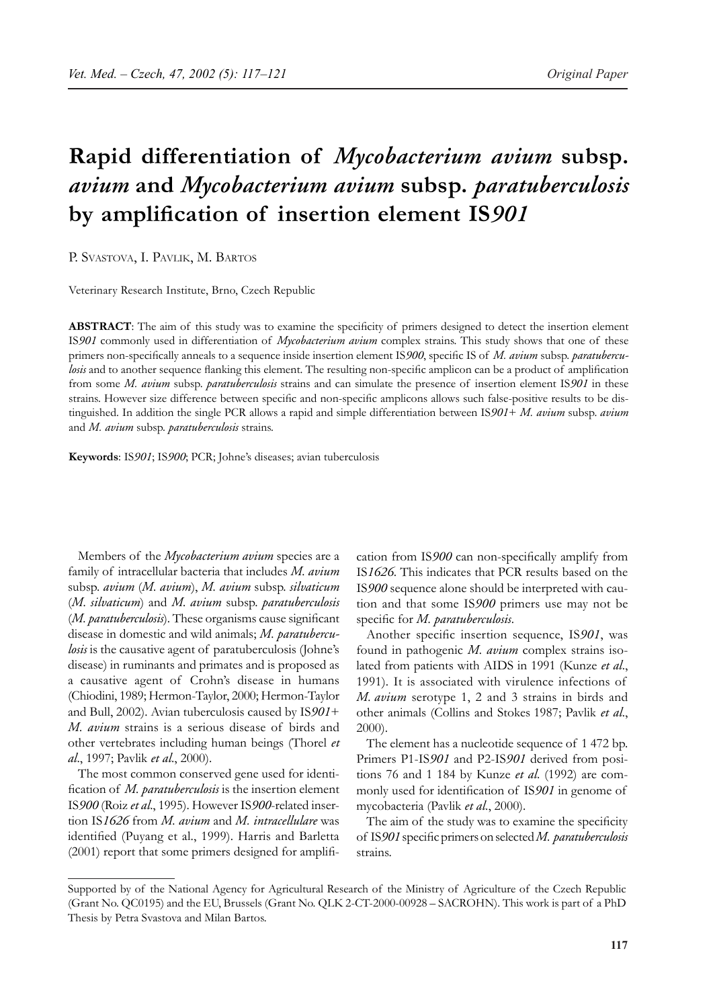# **Rapid differentiation of** *Mycobacterium avium* **subsp.**  *avium* **and** *Mycobacterium avium* **subsp.** *paratuberculosis* **by amplification of insertion element IS***901*

P. SVASTOVA, I. PAVLIK, M. BARTOS

Veterinary Research Institute, Brno, Czech Republic

**ABSTRACT**: The aim of this study was to examine the specificity of primers designed to detect the insertion element IS*901* commonly used in differentiation of *Mycobacterium avium* complex strains. This study shows that one of these primers non-specifically anneals to a sequence inside insertion element IS*900*, specific IS of *M. avium* subsp. *paratuberculosis* and to another sequence flanking this element. The resulting non-specific amplicon can be a product of amplification from some *M. avium* subsp. *paratuberculosis* strains and can simulate the presence of insertion element IS*901* in these strains. However size difference between specific and non-specific amplicons allows such false-positive results to be distinguished. In addition the single PCR allows a rapid and simple differentiation between IS*901*+ *M. avium* subsp. *avium* and *M. avium* subsp. *paratuberculosis* strains.

**Keywords**: IS*901*; IS*900*; PCR; Johne's diseases; avian tuberculosis

Members of the *Mycobacterium avium* species are a family of intracellular bacteria that includes *M. avium* subsp. *avium* (*M. avium*), *M. avium* subsp. *silvaticum* (*M. silvaticum*) and *M. avium* subsp. *paratuberculosis* (*M. paratuberculosis*). These organisms cause significant disease in domestic and wild animals; *M. paratuberculosis* is the causative agent of paratuberculosis (Johne's disease) in ruminants and primates and is proposed as a causative agent of Crohn's disease in humans (Chiodini, 1989; Hermon-Taylor, 2000; Hermon-Taylor and Bull, 2002). Avian tuberculosis caused by IS*901*+ *M. avium* strains is a serious disease of birds and other vertebrates including human beings (Thorel *et al*., 1997; Pavlik *et al*., 2000).

The most common conserved gene used for identification of *M. paratuberculosis* is the insertion element IS*900* (Roiz *et al*., 1995). However IS*900*-related insertion IS*1626* from *M. avium* and *M. intracellulare* was identified (Puyang et al., 1999). Harris and Barletta (2001) report that some primers designed for amplification from IS*900* can non-specifically amplify from IS*1626*. This indicates that PCR results based on the IS*900* sequence alone should be interpreted with caution and that some IS*900* primers use may not be specific for *M. paratuberculosis*.

Another specific insertion sequence, IS*901*, was found in pathogenic *M. avium* complex strains isolated from patients with AIDS in 1991 (Kunze *et al*., 1991). It is associated with virulence infections of *M. avium* serotype 1, 2 and 3 strains in birds and other animals (Collins and Stokes 1987; Pavlik *et al*., 2000).

The element has a nucleotide sequence of 1 472 bp. Primers P1-IS*901* and P2-IS*901* derived from positions 76 and 1 184 by Kunze *et al*. (1992) are commonly used for identification of IS*901* in genome of mycobacteria (Pavlik *et al*., 2000).

The aim of the study was to examine the specificity of IS*901* specific primers on selected *M. paratuberculosis* strains.

Supported by of the National Agency for Agricultural Research of the Ministry of Agriculture of the Czech Republic (Grant No. QC0195) and the EU, Brussels (Grant No. QLK 2-CT-2000-00928 – SACROHN). This work is part of a PhD Thesis by Petra Svastova and Milan Bartos.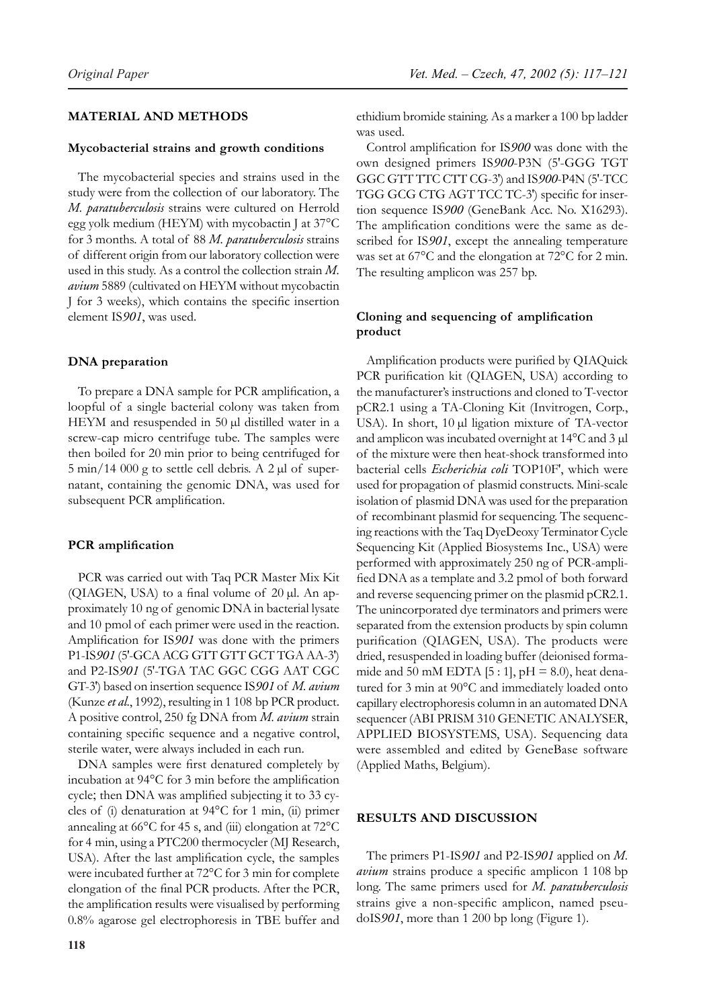# **MATERIAL AND METHODS**

## **Mycobacterial strains and growth conditions**

The mycobacterial species and strains used in the study were from the collection of our laboratory. The *M. paratuberculosis* strains were cultured on Herrold egg yolk medium (HEYM) with mycobactin J at 37°C for 3 months. A total of 88 *M. paratuberculosis* strains of different origin from our laboratory collection were used in this study. As a control the collection strain *M. avium* 5889 (cultivated on HEYM without mycobactin J for 3 weeks), which contains the specific insertion element IS*901*, was used.

## **DNA preparation**

To prepare a DNA sample for PCR amplification, a loopful of a single bacterial colony was taken from HEYM and resuspended in 50 µl distilled water in a screw-cap micro centrifuge tube. The samples were then boiled for 20 min prior to being centrifuged for 5 min/14 000 g to settle cell debris. A 2 µl of supernatant, containing the genomic DNA, was used for subsequent PCR amplification.

### **PCR amplification**

PCR was carried out with Taq PCR Master Mix Kit (QIAGEN, USA) to a final volume of 20 µl. An approximately 10 ng of genomic DNA in bacterial lysate and 10 pmol of each primer were used in the reaction. Amplification for IS*901* was done with the primers P1-IS*901* (5′-GCA ACG GTT GTT GCT TGA AA-3′) and P2-IS*901* (5′-TGA TAC GGC CGG AAT CGC GT-3′) based on insertion sequence IS*901* of *M. avium* (Kunze *et al*., 1992), resulting in 1 108 bp PCR product. A positive control, 250 fg DNA from *M. avium* strain containing specific sequence and a negative control, sterile water, were always included in each run.

DNA samples were first denatured completely by incubation at 94°C for 3 min before the amplification cycle; then DNA was amplified subjecting it to 33 cycles of (i) denaturation at 94°C for 1 min, (ii) primer annealing at 66°C for 45 s, and (iii) elongation at 72°C for 4 min, using a PTC200 thermocycler (MJ Research, USA). After the last amplification cycle, the samples were incubated further at 72°C for 3 min for complete elongation of the final PCR products. After the PCR, the amplification results were visualised by performing 0.8% agarose gel electrophoresis in TBE buffer and ethidium bromide staining. As a marker a 100 bp ladder was used.

Control amplification for IS*900* was done with the own designed primers IS*900*-P3N (5′-GGG TGT GGC GTT TTC CTT CG-3′) and IS*900*-P4N (5′-TCC TGG GCG CTG AGT TCC TC-3′) specific for insertion sequence IS*900* (GeneBank Acc. No. X16293). The amplification conditions were the same as described for IS*901*, except the annealing temperature was set at 67°C and the elongation at 72°C for 2 min. The resulting amplicon was 257 bp.

# **Cloning and sequencing of amplification product**

Amplification products were purified by QIAQuick PCR purification kit (QIAGEN, USA) according to the manufacturer's instructions and cloned to T-vector pCR2.1 using a TA-Cloning Kit (Invitrogen, Corp., USA). In short, 10 µl ligation mixture of TA-vector and amplicon was incubated overnight at 14°C and 3 µl of the mixture were then heat-shock transformed into bacterial cells *Escherichia coli* TOP10F′, which were used for propagation of plasmid constructs. Mini-scale isolation of plasmid DNA was used for the preparation of recombinant plasmid for sequencing. The sequencing reactions with the Taq DyeDeoxy Terminator Cycle Sequencing Kit (Applied Biosystems Inc., USA) were performed with approximately 250 ng of PCR-amplified DNA as a template and 3.2 pmol of both forward and reverse sequencing primer on the plasmid pCR2.1. The unincorporated dye terminators and primers were separated from the extension products by spin column purification (QIAGEN, USA). The products were dried, resuspended in loading buffer (deionised formamide and 50 mM EDTA [5 : 1],  $pH = 8.0$ ), heat denatured for 3 min at 90°C and immediately loaded onto capillary electrophoresis column in an automated DNA sequencer (ABI PRISM 310 GENETIC ANALYSER, APPLIED BIOSYSTEMS, USA). Sequencing data were assembled and edited by GeneBase software (Applied Maths, Belgium).

# **RESULTS AND DISCUSSION**

The primers P1-IS*901* and P2-IS*901* applied on *M. avium* strains produce a specific amplicon 1 108 bp long. The same primers used for *M. paratuberculosis* strains give a non-specific amplicon, named pseudoIS*901*, more than 1 200 bp long (Figure 1).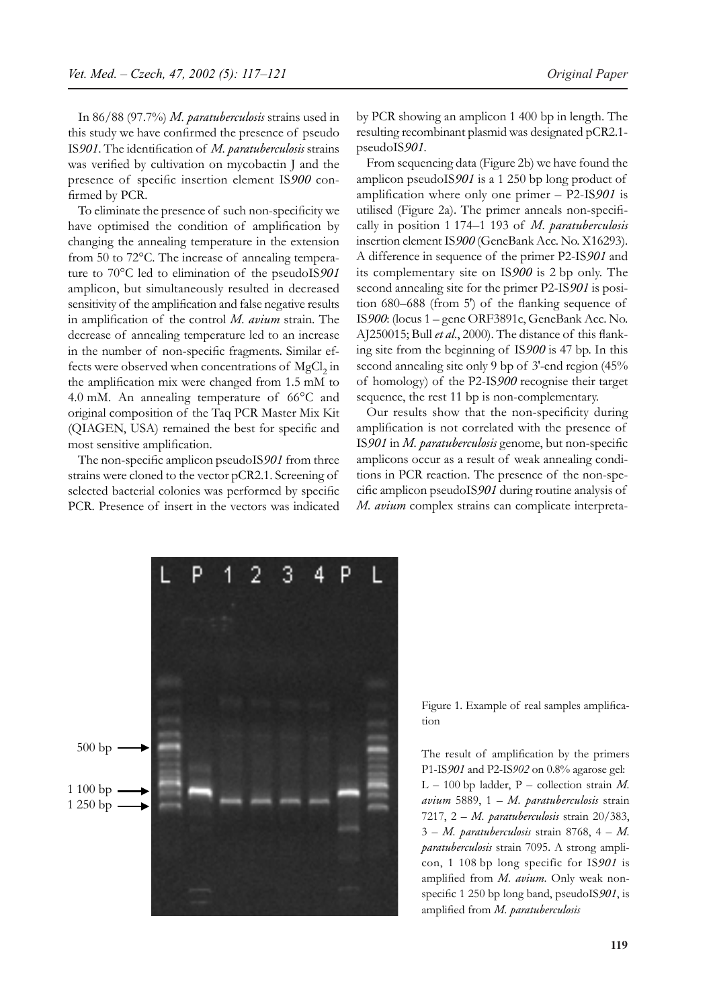In 86/88 (97.7%) *M. paratuberculosis* strains used in this study we have confirmed the presence of pseudo IS*901*. The identification of *M. paratuberculosis* strains was verified by cultivation on mycobactin J and the presence of specific insertion element IS*900* confirmed by PCR.

To eliminate the presence of such non-specificity we have optimised the condition of amplification by changing the annealing temperature in the extension from 50 to 72°C. The increase of annealing temperature to 70°C led to elimination of the pseudoIS*901* amplicon, but simultaneously resulted in decreased sensitivity of the amplification and false negative results in amplification of the control *M. avium* strain. The decrease of annealing temperature led to an increase in the number of non-specific fragments. Similar effects were observed when concentrations of  ${ {\rm MgCl}_2}$  in the amplification mix were changed from 1.5 mM to 4.0 mM. An annealing temperature of 66°C and original composition of the Taq PCR Master Mix Kit (QIAGEN, USA) remained the best for specific and most sensitive amplification.

The non-specific amplicon pseudoIS*901* from three strains were cloned to the vector pCR2.1. Screening of selected bacterial colonies was performed by specific PCR. Presence of insert in the vectors was indicated

by PCR showing an amplicon 1 400 bp in length. The resulting recombinant plasmid was designated pCR2.1 pseudoIS*901.*

From sequencing data (Figure 2b) we have found the amplicon pseudoIS*901* is a 1 250 bp long product of amplification where only one primer – P2-IS*901* is utilised (Figure 2a). The primer anneals non-specifically in position 1 174–1 193 of *M. paratuberculosis* insertion element IS*900* (GeneBank Acc. No. X16293). A difference in sequence of the primer P2-IS*901* and its complementary site on IS*900* is 2 bp only. The second annealing site for the primer P2-IS*901* is position 680–688 (from 5′) of the flanking sequence of IS*900*: (locus 1 – gene ORF3891c, GeneBank Acc. No. AJ250015; Bull *et al*., 2000). The distance of this flanking site from the beginning of IS*900* is 47 bp. In this second annealing site only 9 bp of 3'-end region (45%) of homology) of the P2-IS*900* recognise their target sequence, the rest 11 bp is non-complementary.

Our results show that the non-specificity during amplification is not correlated with the presence of IS*901* in *M. paratuberculosis* genome, but non-specific amplicons occur as a result of weak annealing conditions in PCR reaction. The presence of the non-specific amplicon pseudoIS*901* during routine analysis of *M. avium* complex strains can complicate interpreta-



Figure 1. Example of real samples amplification

The result of amplification by the primers P1-IS*901* and P2-IS*902* on 0.8% agarose gel: L – 100 bp ladder, P – collection strain *M. avium* 5889, 1 – *M. paratuberculosis* strain 7217, 2 – *M. paratuberculosis* strain 20/383, 3 – *M. paratuberculosis* strain 8768, 4 – *M. paratuberculosis* strain 7095. A strong amplicon, 1 108 bp long specific for IS*901* is amplified from *M. avium*. Only weak nonspecific 1 250 bp long band, pseudoIS*901*, is amplified from *M. paratuberculosis*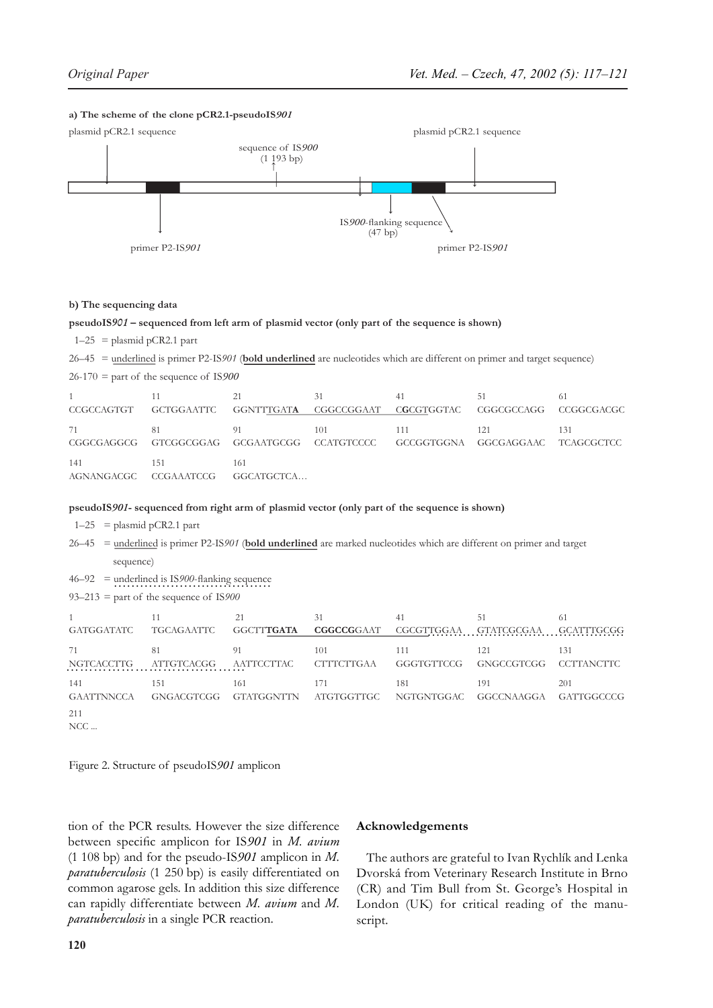## **a) The scheme of the clone pCR2.1-pseudoIS***901*



#### **b) The sequencing data**

#### **pseudoIS***901* **– sequenced from left arm of plasmid vector (only part of the sequence is shown)**

 $1-25$  = plasmid pCR2.1 part

26–45 = underlined is primer P2-IS*901* (**bold underlined** are nucleotides which are different on primer and target sequence)

26-170 = part of the sequence of IS*900*

| $1 \quad$<br>CCGCCAGTGT GCTGGAATTC GGNTTTGATA CGGCCGGAAT CGCGTGGTAC CGGCGCCAGG CCGGCGACGC |       | 21  | 31  | 41   | -51 |     |
|-------------------------------------------------------------------------------------------|-------|-----|-----|------|-----|-----|
| 71<br>CGGCGAGGCG GTCGGCGGAG GCGAATGCGG CCATGTCCCC GCCGGTGGNA GGCGAGGAAC TCAGCGCTCC        | -81   | -91 | 101 | -111 | 121 | 131 |
| 141<br>AGNANGACGC CCGAAATCCG GGCATGCTCA                                                   | - 151 | 161 |     |      |     |     |

#### **pseudoIS***901***- sequenced from right arm of plasmid vector (only part of the sequence is shown)**

 $1-25$  = plasmid pCR2.1 part

26–45 = underlined is primer P2-IS*901* (**bold underlined** are marked nucleotides which are different on primer and target sequence)

46–92 = underlined is IS*900*-flanking sequence ………………………………

93–213 = part of the sequence of IS*900*

| GATGGATATC        | TGCAGAATTC | 21<br>GGCTT <b>TGATA</b> | 31<br><b>CGGCCGGAAT</b> | 41<br>CGCGTTGGAA | 51<br><b>GTATCGCGAA</b> | 61<br><b>GCATTTGCGG</b> |
|-------------------|------------|--------------------------|-------------------------|------------------|-------------------------|-------------------------|
| 71                | 81         | 91                       | 101                     | 111              | 121                     | 131                     |
| NGTCACCTTG        | ATTGTCACGG | AATTCCTTAC               | <b>CTTTCTTGAA</b>       | GGGTGTTCCG       | GNGCCGTCGG              | <b>CCTTANCTTC</b>       |
| 141               | 151        | 161                      | 171                     | 181              | 191                     | 201                     |
| <b>GAATTNNCCA</b> | GNGACGTCGG | GTATGGNTTN               | ATGTGGTTGC              | NGTGNTGGAC       | GGCCNAAGGA              | GATTGGCCCG              |
| 211<br>$NCC$      |            |                          |                         |                  |                         |                         |

Figure 2. Structure of pseudoIS*901* amplicon

tion of the PCR results. However the size difference between specific amplicon for IS*901* in *M. avium* (1 108 bp) and for the pseudo-IS*901* amplicon in *M. paratuberculosis* (1 250 bp) is easily differentiated on common agarose gels. In addition this size difference can rapidly differentiate between *M. avium* and *M. paratuberculosis* in a single PCR reaction.

## **Acknowledgements**

The authors are grateful to Ivan Rychlík and Lenka Dvorská from Veterinary Research Institute in Brno (CR) and Tim Bull from St. George's Hospital in London (UK) for critical reading of the manuscript.